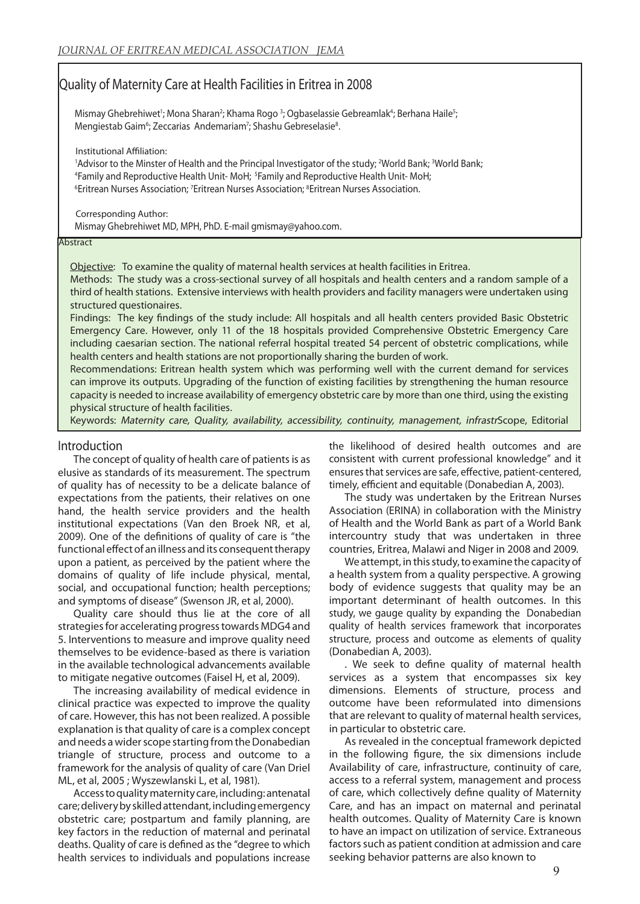# Quality of Maternity Care at Health Facilities in Eritrea in 2008

Mismay Ghebrehiwet<sup>1</sup>; Mona Sharan<sup>2</sup>; Khama Rogo <sup>3</sup>; Ogbaselassie Gebreamlak<sup>4</sup>; Berhana Haile<sup>5</sup>; Mengiestab Gaim<sup>6</sup>; Zeccarias Andemariam<sup>7</sup>; Shashu Gebreselasie<sup>8</sup>.

Institutional Affiliation:

<sup>1</sup>Advisor to the Minster of Health and the Principal Investigator of the study; <sup>2</sup>World Bank; <sup>3</sup>World Bank;<br><sup>4Eamily and Reproductive Health Unit- MoH<sup>. 5Eamily and Reproductive Health Unit- MoH<sup>.</sup></sup></sup> <sup>4</sup>Family and Reproductive Health Unit-MoH; <sup>5</sup>Family and Reproductive Health Unit-MoH; Eritrean Nurses Association; <sup>7</sup>Eritrean Nurses Association; <sup>8</sup>Eritrean Nurses Association.

Corresponding Author:

Mismay Ghebrehiwet MD, MPH, PhD. E-mail gmismay@yahoo.com.

**Abstract** 

Objective: To examine the quality of maternal health services at health facilities in Eritrea. Methods: The study was a cross-sectional survey of all hospitals and health centers and a random sample of a third of health stations. Extensive interviews with health providers and facility managers were undertaken using structured questionaires.

Findings: The key findings of the study include: All hospitals and all health centers provided Basic Obstetric Emergency Care. However, only 11 of the 18 hospitals provided Comprehensive Obstetric Emergency Care including caesarian section. The national referral hospital treated 54 percent of obstetric complications, while health centers and health stations are not proportionally sharing the burden of work.

Recommendations: Eritrean health system which was performing well with the current demand for services can improve its outputs. Upgrading of the function of existing facilities by strengthening the human resource capacity is needed to increase availability of emergency obstetric care by more than one third, using the existing physical structure of health facilities.

Keywords: Maternity care, Quality, availability, accessibility, continuity, management, infrastrScope, Editorial

### Introduction

The concept of quality of health care of patients is as elusive as standards of its measurement. The spectrum of quality has of necessity to be a delicate balance of expectations from the patients, their relatives on one hand, the health service providers and the health institutional expectations (Van den Broek NR, et al, 2009). One of the definitions of quality of care is "the functional effect of an illness and its consequent therapy upon a patient, as perceived by the patient where the domains of quality of life include physical, mental, social, and occupational function; health perceptions; and symptoms of disease" (Swenson JR, et al, 2000).

Quality care should thus lie at the core of all strategies for accelerating progress towards MDG4 and 5. Interventions to measure and improve quality need themselves to be evidence-based as there is variation in the available technological advancements available to mitigate negative outcomes (Faisel H, et al, 2009).

The increasing availability of medical evidence in clinical practice was expected to improve the quality of care. However, this has not been realized. A possible explanation is that quality of care is a complex concept and needs a wider scope starting from the Donabedian triangle of structure, process and outcome to a framework for the analysis of quality of care (Van Driel ML, et al, 2005 ; Wyszewlanski L, et al, 1981).

Access to quality maternity care, including: antenatal care; delivery by skilled attendant, including emergency obstetric care; postpartum and family planning, are key factors in the reduction of maternal and perinatal deaths. Quality of care is defined as the "degree to which health services to individuals and populations increase

the likelihood of desired health outcomes and are consistent with current professional knowledge" and it ensures that services are safe, effective, patient-centered, timely, efficient and equitable (Donabedian A, 2003).

The study was undertaken by the Eritrean Nurses Association (ERINA) in collaboration with the Ministry of Health and the World Bank as part of a World Bank intercountry study that was undertaken in three countries, Eritrea, Malawi and Niger in 2008 and 2009.

We attempt, in this study, to examine the capacity of a health system from a quality perspective. A growing body of evidence suggests that quality may be an important determinant of health outcomes. In this study, we gauge quality by expanding the Donabedian quality of health services framework that incorporates structure, process and outcome as elements of quality (Donabedian A, 2003).

. We seek to define quality of maternal health services as a system that encompasses six key dimensions. Elements of structure, process and outcome have been reformulated into dimensions that are relevant to quality of maternal health services, in particular to obstetric care.

As revealed in the conceptual framework depicted in the following figure, the six dimensions include Availability of care, infrastructure, continuity of care, access to a referral system, management and process of care, which collectively define quality of Maternity Care, and has an impact on maternal and perinatal health outcomes. Quality of Maternity Care is known to have an impact on utilization of service. Extraneous factors such as patient condition at admission and care seeking behavior patterns are also known to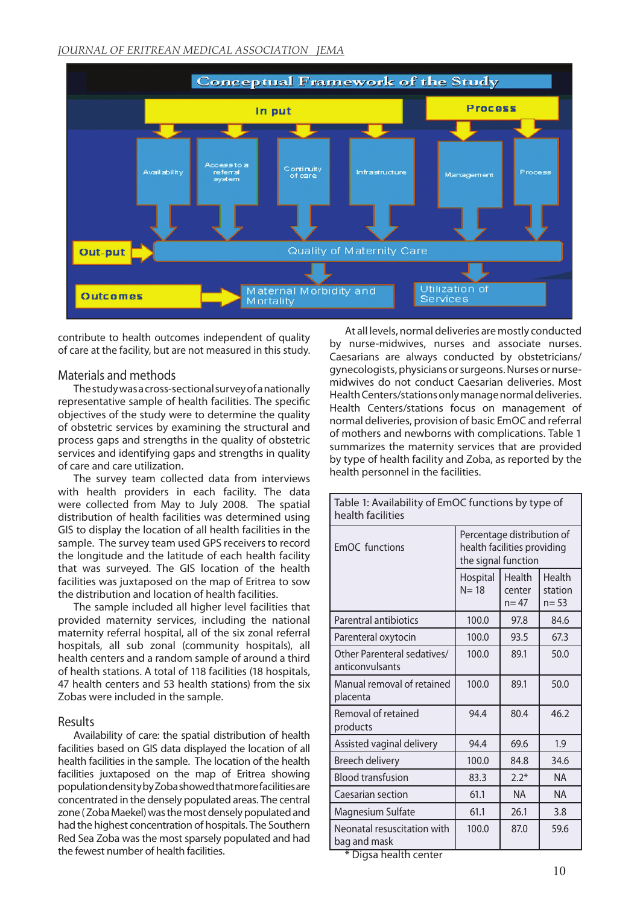# *JOURNAL OF ERITREAN MEDICAL ASSOCIATION JEMA*



contribute to health outcomes independent of quality of care at the facility, but are not measured in this study.

# Materials and methods

The study was a cross-sectional survey of a nationally representative sample of health facilities. The specific objectives of the study were to determine the quality of obstetric services by examining the structural and process gaps and strengths in the quality of obstetric services and identifying gaps and strengths in quality of care and care utilization.

The survey team collected data from interviews with health providers in each facility. The data were collected from May to July 2008. The spatial distribution of health facilities was determined using GIS to display the location of all health facilities in the sample. The survey team used GPS receivers to record the longitude and the latitude of each health facility that was surveyed. The GIS location of the health facilities was juxtaposed on the map of Eritrea to sow the distribution and location of health facilities.

The sample included all higher level facilities that provided maternity services, including the national maternity referral hospital, all of the six zonal referral hospitals, all sub zonal (community hospitals), all health centers and a random sample of around a third of health stations. A total of 118 facilities (18 hospitals, 47 health centers and 53 health stations) from the six Zobas were included in the sample.

### Results

Availability of care: the spatial distribution of health facilities based on GIS data displayed the location of all health facilities in the sample. The location of the health facilities juxtaposed on the map of Eritrea showing population density by Zoba showed that more facilities are concentrated in the densely populated areas. The central zone ( Zoba Maekel) was the most densely populated and had the highest concentration of hospitals. The Southern Red Sea Zoba was the most sparsely populated and had the fewest number of health facilities.

At all levels, normal deliveries are mostly conducted by nurse-midwives, nurses and associate nurses. Caesarians are always conducted by obstetricians/ gynecologists, physicians or surgeons. Nurses or nursemidwives do not conduct Caesarian deliveries. Most Health Centers/stations only manage normal deliveries. Health Centers/stations focus on management of normal deliveries, provision of basic EmOC and referral of mothers and newborns with complications. Table 1 summarizes the maternity services that are provided by type of health facility and Zoba, as reported by the health personnel in the facilities.

| Table 1: Availability of EmOC functions by type of<br>health facilities   |                                                                                  |                              |                               |
|---------------------------------------------------------------------------|----------------------------------------------------------------------------------|------------------------------|-------------------------------|
| EmOC functions                                                            | Percentage distribution of<br>health facilities providing<br>the signal function |                              |                               |
|                                                                           | Hospital<br>$N = 18$                                                             | Health<br>center<br>$n = 47$ | Health<br>station<br>$n = 53$ |
| Parentral antibiotics                                                     | 100.0                                                                            | 97.8                         | 84.6                          |
| Parenteral oxytocin                                                       | 100.0                                                                            | 93.5                         | 67.3                          |
| Other Parenteral sedatives/<br>anticonvulsants                            | 100.0                                                                            | 89.1                         | 50.0                          |
| Manual removal of retained<br>placenta                                    | 100.0                                                                            | 89.1                         | 50.0                          |
| Removal of retained<br>products                                           | 94.4                                                                             | 80.4                         | 46.2                          |
| Assisted vaginal delivery                                                 | 94.4                                                                             | 69.6                         | 1.9                           |
| Breech delivery                                                           | 100.0                                                                            | 84.8                         | 34.6                          |
| <b>Blood transfusion</b>                                                  | 83.3                                                                             | $2.2*$                       | <b>NA</b>                     |
| Caesarian section                                                         | 61.1                                                                             | <b>NA</b>                    | <b>NA</b>                     |
| Magnesium Sulfate                                                         | 61.1                                                                             | 26.1                         | 3.8                           |
| Neonatal resuscitation with<br>bag and mask<br>$*$ $\mathsf{D}$ :<br>Le L | 100.0                                                                            | 87.0                         | 59.6                          |

Digsa health center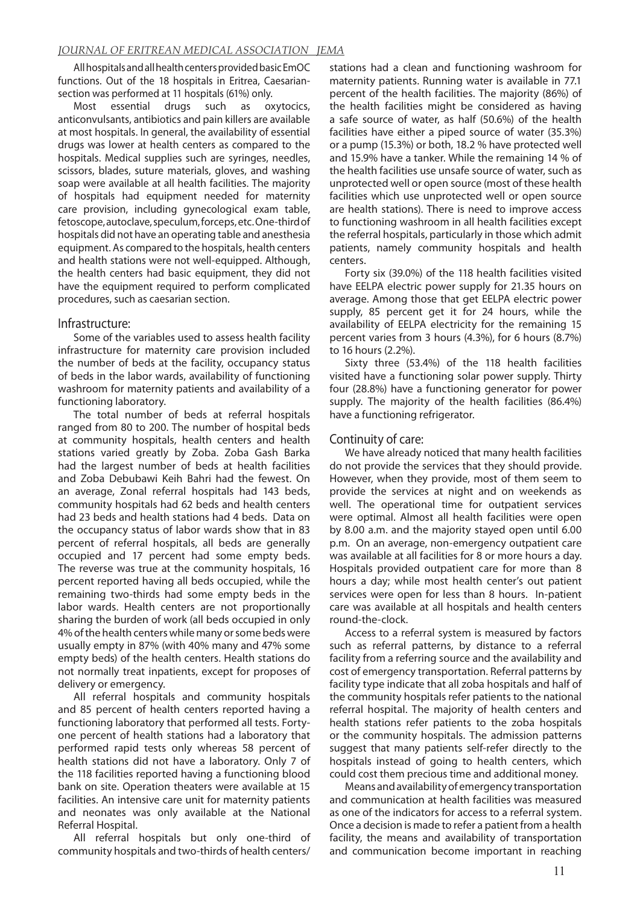All hospitals and all health centers provided basic EmOC functions. Out of the 18 hospitals in Eritrea, Caesariansection was performed at 11 hospitals (61%) only.

Most essential drugs such as oxytocics, anticonvulsants, antibiotics and pain killers are available at most hospitals. In general, the availability of essential drugs was lower at health centers as compared to the hospitals. Medical supplies such are syringes, needles, scissors, blades, suture materials, gloves, and washing soap were available at all health facilities. The majority of hospitals had equipment needed for maternity care provision, including gynecological exam table, fetoscope, autoclave, speculum, forceps, etc. One-third of hospitals did not have an operating table and anesthesia equipment. As compared to the hospitals, health centers and health stations were not well-equipped. Although, the health centers had basic equipment, they did not have the equipment required to perform complicated procedures, such as caesarian section.

# Infrastructure:

Some of the variables used to assess health facility infrastructure for maternity care provision included the number of beds at the facility, occupancy status of beds in the labor wards, availability of functioning washroom for maternity patients and availability of a functioning laboratory.

The total number of beds at referral hospitals ranged from 80 to 200. The number of hospital beds at community hospitals, health centers and health stations varied greatly by Zoba. Zoba Gash Barka had the largest number of beds at health facilities and Zoba Debubawi Keih Bahri had the fewest. On an average, Zonal referral hospitals had 143 beds, community hospitals had 62 beds and health centers had 23 beds and health stations had 4 beds. Data on the occupancy status of labor wards show that in 83 percent of referral hospitals, all beds are generally occupied and 17 percent had some empty beds. The reverse was true at the community hospitals, 16 percent reported having all beds occupied, while the remaining two-thirds had some empty beds in the labor wards. Health centers are not proportionally sharing the burden of work (all beds occupied in only 4% of the health centers while many or some beds were usually empty in 87% (with 40% many and 47% some empty beds) of the health centers. Health stations do not normally treat inpatients, except for proposes of delivery or emergency.

All referral hospitals and community hospitals and 85 percent of health centers reported having a functioning laboratory that performed all tests. Fortyone percent of health stations had a laboratory that performed rapid tests only whereas 58 percent of health stations did not have a laboratory. Only 7 of the 118 facilities reported having a functioning blood bank on site. Operation theaters were available at 15 facilities. An intensive care unit for maternity patients and neonates was only available at the National Referral Hospital.

All referral hospitals but only one-third of community hospitals and two-thirds of health centers/

stations had a clean and functioning washroom for maternity patients. Running water is available in 77.1 percent of the health facilities. The majority (86%) of the health facilities might be considered as having a safe source of water, as half (50.6%) of the health facilities have either a piped source of water (35.3%) or a pump (15.3%) or both, 18.2 % have protected well and 15.9% have a tanker. While the remaining 14 % of the health facilities use unsafe source of water, such as unprotected well or open source (most of these health facilities which use unprotected well or open source are health stations). There is need to improve access to functioning washroom in all health facilities except the referral hospitals, particularly in those which admit patients, namely community hospitals and health centers.

Forty six (39.0%) of the 118 health facilities visited have EELPA electric power supply for 21.35 hours on average. Among those that get EELPA electric power supply, 85 percent get it for 24 hours, while the availability of EELPA electricity for the remaining 15 percent varies from 3 hours (4.3%), for 6 hours (8.7%) to 16 hours (2.2%).

Sixty three (53.4%) of the 118 health facilities visited have a functioning solar power supply. Thirty four (28.8%) have a functioning generator for power supply. The majority of the health facilities (86.4%) have a functioning refrigerator.

# Continuity of care:

We have already noticed that many health facilities do not provide the services that they should provide. However, when they provide, most of them seem to provide the services at night and on weekends as well. The operational time for outpatient services were optimal. Almost all health facilities were open by 8.00 a.m. and the majority stayed open until 6.00 p.m. On an average, non-emergency outpatient care was available at all facilities for 8 or more hours a day. Hospitals provided outpatient care for more than 8 hours a day; while most health center's out patient services were open for less than 8 hours. In-patient care was available at all hospitals and health centers round-the-clock.

Access to a referral system is measured by factors such as referral patterns, by distance to a referral facility from a referring source and the availability and cost of emergency transportation. Referral patterns by facility type indicate that all zoba hospitals and half of the community hospitals refer patients to the national referral hospital. The majority of health centers and health stations refer patients to the zoba hospitals or the community hospitals. The admission patterns suggest that many patients self-refer directly to the hospitals instead of going to health centers, which could cost them precious time and additional money.

Means and availability of emergency transportation and communication at health facilities was measured as one of the indicators for access to a referral system. Once a decision is made to refer a patient from a health facility, the means and availability of transportation and communication become important in reaching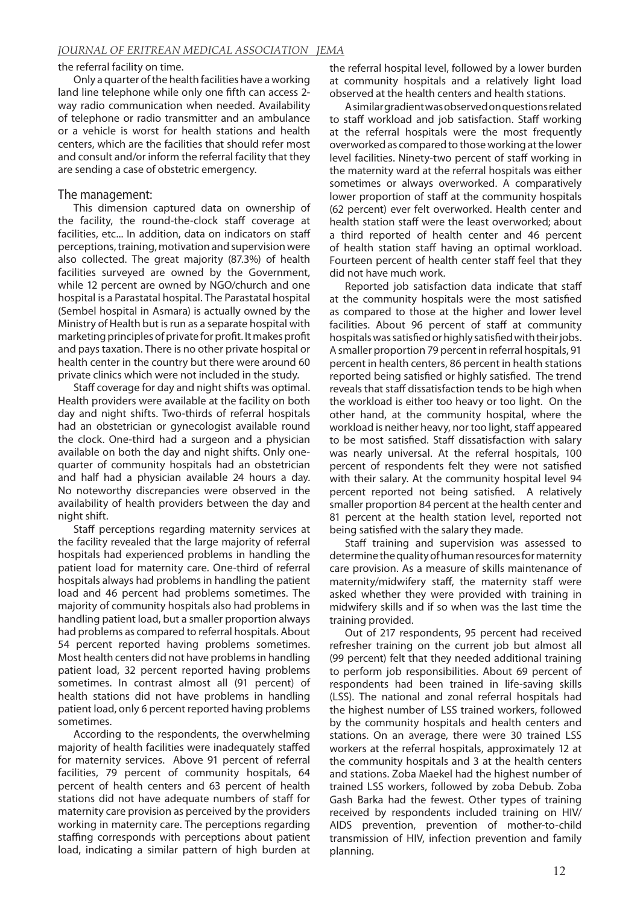### *JOURNAL OF ERITREAN MEDICAL ASSOCIATION JEMA*

#### the referral facility on time.

Only a quarter of the health facilities have a working land line telephone while only one fifth can access 2 way radio communication when needed. Availability of telephone or radio transmitter and an ambulance or a vehicle is worst for health stations and health centers, which are the facilities that should refer most and consult and/or inform the referral facility that they are sending a case of obstetric emergency.

### The management:

This dimension captured data on ownership of the facility, the round-the-clock staff coverage at facilities, etc... In addition, data on indicators on staff perceptions, training, motivation and supervision were also collected. The great majority (87.3%) of health facilities surveyed are owned by the Government, while 12 percent are owned by NGO/church and one hospital is a Parastatal hospital. The Parastatal hospital (Sembel hospital in Asmara) is actually owned by the Ministry of Health but is run as a separate hospital with marketing principles of private for profit. It makes profit and pays taxation. There is no other private hospital or health center in the country but there were around 60 private clinics which were not included in the study.

Staff coverage for day and night shifts was optimal. Health providers were available at the facility on both day and night shifts. Two-thirds of referral hospitals had an obstetrician or gynecologist available round the clock. One-third had a surgeon and a physician available on both the day and night shifts. Only onequarter of community hospitals had an obstetrician and half had a physician available 24 hours a day. No noteworthy discrepancies were observed in the availability of health providers between the day and night shift.

Staff perceptions regarding maternity services at the facility revealed that the large majority of referral hospitals had experienced problems in handling the patient load for maternity care. One-third of referral hospitals always had problems in handling the patient load and 46 percent had problems sometimes. The majority of community hospitals also had problems in handling patient load, but a smaller proportion always had problems as compared to referral hospitals. About 54 percent reported having problems sometimes. Most health centers did not have problems in handling patient load, 32 percent reported having problems sometimes. In contrast almost all (91 percent) of health stations did not have problems in handling patient load, only 6 percent reported having problems sometimes.

According to the respondents, the overwhelming majority of health facilities were inadequately staffed for maternity services. Above 91 percent of referral facilities, 79 percent of community hospitals, 64 percent of health centers and 63 percent of health stations did not have adequate numbers of staff for maternity care provision as perceived by the providers working in maternity care. The perceptions regarding staffing corresponds with perceptions about patient load, indicating a similar pattern of high burden at

the referral hospital level, followed by a lower burden at community hospitals and a relatively light load observed at the health centers and health stations.

A similar gradient was observed on questions related to staff workload and job satisfaction. Staff working at the referral hospitals were the most frequently overworked as compared to those working at the lower level facilities. Ninety-two percent of staff working in the maternity ward at the referral hospitals was either sometimes or always overworked. A comparatively lower proportion of staff at the community hospitals (62 percent) ever felt overworked. Health center and health station staff were the least overworked; about a third reported of health center and 46 percent of health station staff having an optimal workload. Fourteen percent of health center staff feel that they did not have much work.

Reported job satisfaction data indicate that staff at the community hospitals were the most satisfied as compared to those at the higher and lower level facilities. About 96 percent of staff at community hospitals was satisfied or highly satisfied with their jobs. A smaller proportion 79 percent in referral hospitals, 91 percent in health centers, 86 percent in health stations reported being satisfied or highly satisfied. The trend reveals that staff dissatisfaction tends to be high when the workload is either too heavy or too light. On the other hand, at the community hospital, where the workload is neither heavy, nor too light, staff appeared to be most satisfied. Staff dissatisfaction with salary was nearly universal. At the referral hospitals, 100 percent of respondents felt they were not satisfied with their salary. At the community hospital level 94 percent reported not being satisfied. A relatively smaller proportion 84 percent at the health center and 81 percent at the health station level, reported not being satisfied with the salary they made.

Staff training and supervision was assessed to determine the quality of human resources for maternity care provision. As a measure of skills maintenance of maternity/midwifery staff, the maternity staff were asked whether they were provided with training in midwifery skills and if so when was the last time the training provided.

Out of 217 respondents, 95 percent had received refresher training on the current job but almost all (99 percent) felt that they needed additional training to perform job responsibilities. About 69 percent of respondents had been trained in life-saving skills (LSS). The national and zonal referral hospitals had the highest number of LSS trained workers, followed by the community hospitals and health centers and stations. On an average, there were 30 trained LSS workers at the referral hospitals, approximately 12 at the community hospitals and 3 at the health centers and stations. Zoba Maekel had the highest number of trained LSS workers, followed by zoba Debub. Zoba Gash Barka had the fewest. Other types of training received by respondents included training on HIV/ AIDS prevention, prevention of mother-to-child transmission of HIV, infection prevention and family planning.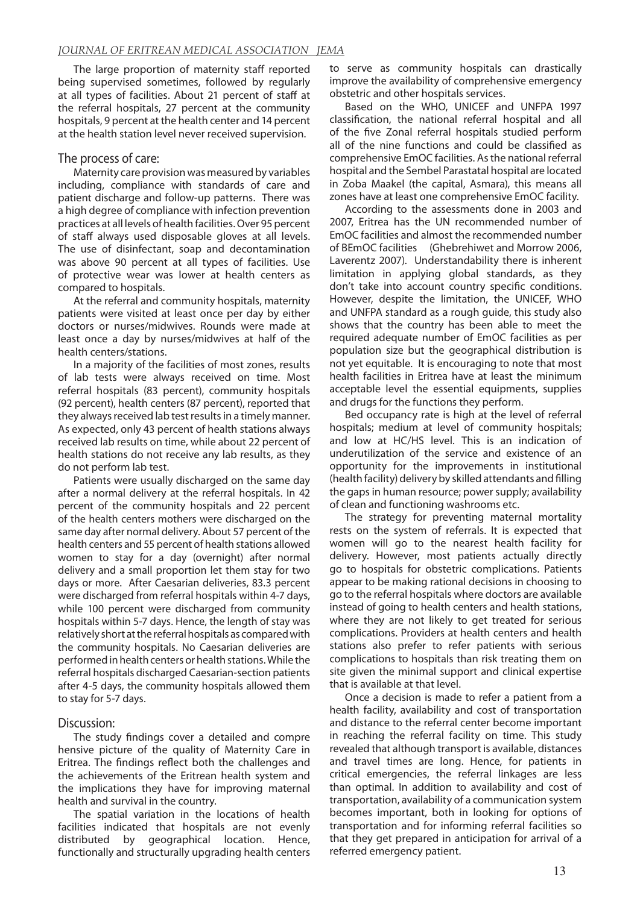The large proportion of maternity staff reported being supervised sometimes, followed by regularly at all types of facilities. About 21 percent of staff at the referral hospitals, 27 percent at the community hospitals, 9 percent at the health center and 14 percent at the health station level never received supervision.

### The process of care:

Maternity care provision was measured by variables including, compliance with standards of care and patient discharge and follow-up patterns. There was a high degree of compliance with infection prevention practices at all levels of health facilities. Over 95 percent of staff always used disposable gloves at all levels. The use of disinfectant, soap and decontamination was above 90 percent at all types of facilities. Use of protective wear was lower at health centers as compared to hospitals.

At the referral and community hospitals, maternity patients were visited at least once per day by either doctors or nurses/midwives. Rounds were made at least once a day by nurses/midwives at half of the health centers/stations.

In a majority of the facilities of most zones, results of lab tests were always received on time. Most referral hospitals (83 percent), community hospitals (92 percent), health centers (87 percent), reported that they always received lab test results in a timely manner. As expected, only 43 percent of health stations always received lab results on time, while about 22 percent of health stations do not receive any lab results, as they do not perform lab test.

Patients were usually discharged on the same day after a normal delivery at the referral hospitals. In 42 percent of the community hospitals and 22 percent of the health centers mothers were discharged on the same day after normal delivery. About 57 percent of the health centers and 55 percent of health stations allowed women to stay for a day (overnight) after normal delivery and a small proportion let them stay for two days or more. After Caesarian deliveries, 83.3 percent were discharged from referral hospitals within 4-7 days, while 100 percent were discharged from community hospitals within 5-7 days. Hence, the length of stay was relatively short at the referral hospitals as compared with the community hospitals. No Caesarian deliveries are performed in health centers or health stations. While the referral hospitals discharged Caesarian-section patients after 4-5 days, the community hospitals allowed them to stay for 5-7 days.

### Discussion:

The study findings cover a detailed and compre hensive picture of the quality of Maternity Care in Eritrea. The findings reflect both the challenges and the achievements of the Eritrean health system and the implications they have for improving maternal health and survival in the country.

The spatial variation in the locations of health facilities indicated that hospitals are not evenly distributed by geographical location. Hence, functionally and structurally upgrading health centers

to serve as community hospitals can drastically improve the availability of comprehensive emergency obstetric and other hospitals services.

Based on the WHO, UNICEF and UNFPA 1997 classification, the national referral hospital and all of the five Zonal referral hospitals studied perform all of the nine functions and could be classified as comprehensive EmOC facilities. As the national referral hospital and the Sembel Parastatal hospital are located in Zoba Maakel (the capital, Asmara), this means all zones have at least one comprehensive EmOC facility.

According to the assessments done in 2003 and 2007, Eritrea has the UN recommended number of EmOC facilities and almost the recommended number of BEmOC facilities (Ghebrehiwet and Morrow 2006, Laverentz 2007). Understandability there is inherent limitation in applying global standards, as they don't take into account country specific conditions. However, despite the limitation, the UNICEF, WHO and UNFPA standard as a rough guide, this study also shows that the country has been able to meet the required adequate number of EmOC facilities as per population size but the geographical distribution is not yet equitable. It is encouraging to note that most health facilities in Eritrea have at least the minimum acceptable level the essential equipments, supplies and drugs for the functions they perform.

Bed occupancy rate is high at the level of referral hospitals; medium at level of community hospitals; and low at HC/HS level. This is an indication of underutilization of the service and existence of an opportunity for the improvements in institutional (health facility) delivery by skilled attendants and filling the gaps in human resource; power supply; availability of clean and functioning washrooms etc.

The strategy for preventing maternal mortality rests on the system of referrals. It is expected that women will go to the nearest health facility for delivery. However, most patients actually directly go to hospitals for obstetric complications. Patients appear to be making rational decisions in choosing to go to the referral hospitals where doctors are available instead of going to health centers and health stations, where they are not likely to get treated for serious complications. Providers at health centers and health stations also prefer to refer patients with serious complications to hospitals than risk treating them on site given the minimal support and clinical expertise that is available at that level.

Once a decision is made to refer a patient from a health facility, availability and cost of transportation and distance to the referral center become important in reaching the referral facility on time. This study revealed that although transport is available, distances and travel times are long. Hence, for patients in critical emergencies, the referral linkages are less than optimal. In addition to availability and cost of transportation, availability of a communication system becomes important, both in looking for options of transportation and for informing referral facilities so that they get prepared in anticipation for arrival of a referred emergency patient.